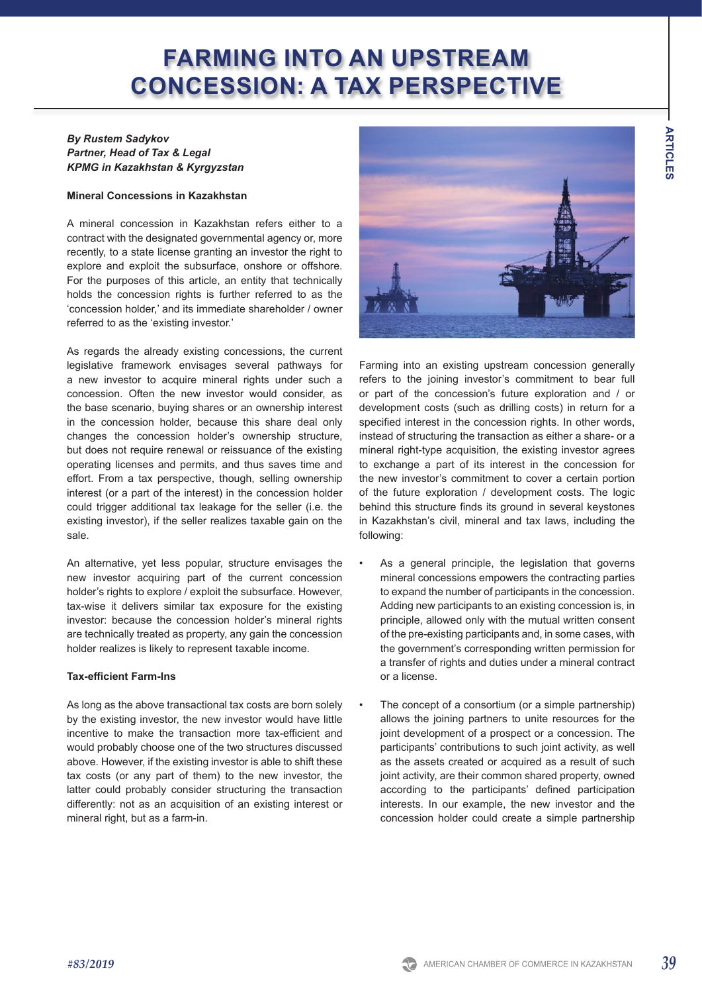# **FARMING INTO AN UPSTREAM CONCESSION: A TAX PERSPECTIVE**

## *By Rustem Sadykov Partner, Head of Tax & Legal KPMG in Kazakhstan & Kyrgyzstan*

#### **Mineral Concessions in Kazakhstan**

A mineral concession in Kazakhstan refers either to a contract with the designated governmental agency or, more recently, to a state license granting an investor the right to explore and exploit the subsurface, onshore or offshore. For the purposes of this article, an entity that technically holds the concession rights is further referred to as the 'concession holder,' and its immediate shareholder / owner referred to as the 'existing investor.'

As regards the already existing concessions, the current legislative framework envisages several pathways for a new investor to acquire mineral rights under such a concession. Often the new investor would consider, as the base scenario, buying shares or an ownership interest in the concession holder, because this share deal only changes the concession holder's ownership structure, but does not require renewal or reissuance of the existing operating licenses and permits, and thus saves time and effort. From a tax perspective, though, selling ownership interest (or a part of the interest) in the concession holder could trigger additional tax leakage for the seller (i.e. the existing investor), if the seller realizes taxable gain on the sale.

An alternative, yet less popular, structure envisages the new investor acquiring part of the current concession holder's rights to explore / exploit the subsurface. However, tax-wise it delivers similar tax exposure for the existing investor: because the concession holder's mineral rights are technically treated as property, any gain the concession holder realizes is likely to represent taxable income.

#### **Tax-efficient Farm-Ins**

As long as the above transactional tax costs are born solely by the existing investor, the new investor would have little incentive to make the transaction more tax-efficient and would probably choose one of the two structures discussed above. However, if the existing investor is able to shift these tax costs (or any part of them) to the new investor, the latter could probably consider structuring the transaction differently: not as an acquisition of an existing interest or mineral right, but as a farm-in.



Farming into an existing upstream concession generally refers to the joining investor's commitment to bear full or part of the concession's future exploration and / or development costs (such as drilling costs) in return for a specified interest in the concession rights. In other words, instead of structuring the transaction as either a share- or a mineral right-type acquisition, the existing investor agrees to exchange a part of its interest in the concession for the new investor's commitment to cover a certain portion of the future exploration / development costs. The logic behind this structure finds its ground in several keystones in Kazakhstan's civil, mineral and tax laws, including the following:

- As a general principle, the legislation that governs mineral concessions empowers the contracting parties to expand the number of participants in the concession. Adding new participants to an existing concession is, in principle, allowed only with the mutual written consent of the pre-existing participants and, in some cases, with the government's corresponding written permission for a transfer of rights and duties under a mineral contract or a license.
- The concept of a consortium (or a simple partnership) allows the joining partners to unite resources for the joint development of a prospect or a concession. The participants' contributions to such joint activity, as well as the assets created or acquired as a result of such joint activity, are their common shared property, owned according to the participants' defined participation interests. In our example, the new investor and the concession holder could create a simple partnership